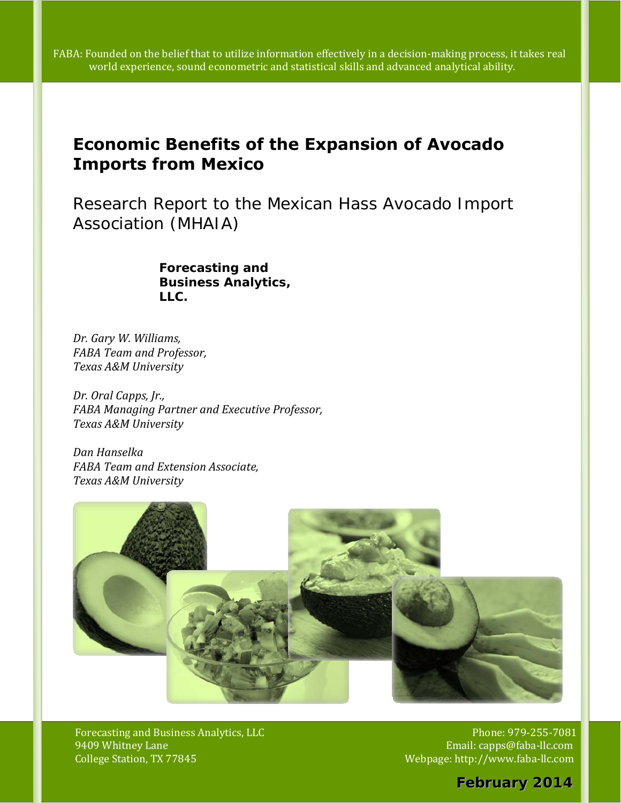$\blacksquare$  world experience, sound econometric and statistical skills and advanced analytical ability. FABA: Founded on the belief that to utilize information effectively in a decision-making process, it takes real

# **Economic Benefits of the Expansion of Avocado Imports from Mexico**

*Research Report to the Mexican Hass Avocado Import Association (MHAIA)* 

> *Forecasting and Business Analytics, LLC.*

 *Dr. Gary W. Williams, FABA Team and Professor, Texas A&M University*

 *Dr. Oral Capps, Jr., FABA Managing Partner and Executive Professor, Texas A&M University*

 *Dan Hanselka FABA Team and Extension Associate, Texas A&M University*



Whitney Lane and the contract of the contract of the contract of the contract of the contract of the contract of the contract of the contract of the contract of the contract of the contract of the contract of the contract College Station, TX 77845 Webpage: http://www.faba-llc.com College Station, TX 77845 Forecasting and Business Analytics, LLC

Phone: 979-255-7081 Email: capps@faba-llc.com

*February 2014 February 2014*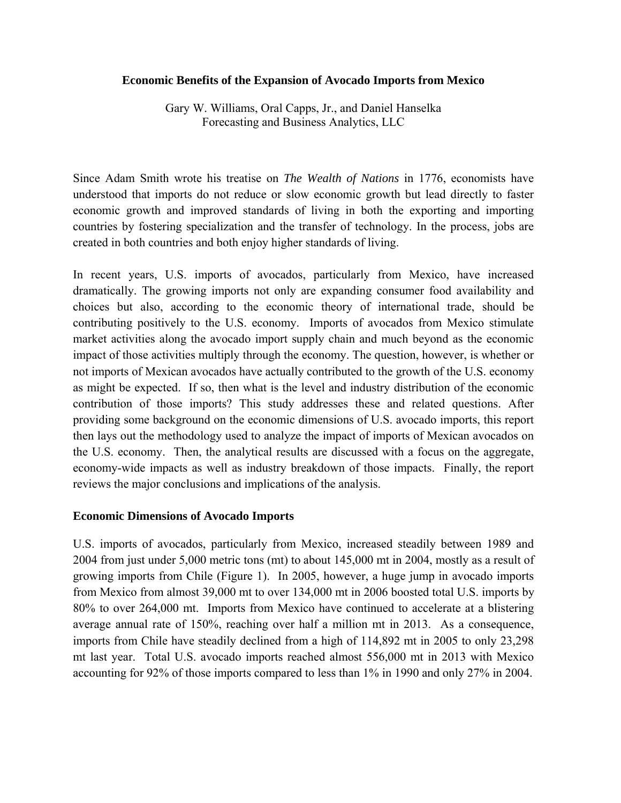#### **Economic Benefits of the Expansion of Avocado Imports from Mexico**

Gary W. Williams, Oral Capps, Jr., and Daniel Hanselka Forecasting and Business Analytics, LLC

Since Adam Smith wrote his treatise on *The Wealth of Nations* in 1776, economists have understood that imports do not reduce or slow economic growth but lead directly to faster economic growth and improved standards of living in both the exporting and importing countries by fostering specialization and the transfer of technology. In the process, jobs are created in both countries and both enjoy higher standards of living.

In recent years, U.S. imports of avocados, particularly from Mexico, have increased dramatically. The growing imports not only are expanding consumer food availability and choices but also, according to the economic theory of international trade, should be contributing positively to the U.S. economy. Imports of avocados from Mexico stimulate market activities along the avocado import supply chain and much beyond as the economic impact of those activities multiply through the economy. The question, however, is whether or not imports of Mexican avocados have actually contributed to the growth of the U.S. economy as might be expected. If so, then what is the level and industry distribution of the economic contribution of those imports? This study addresses these and related questions. After providing some background on the economic dimensions of U.S. avocado imports, this report then lays out the methodology used to analyze the impact of imports of Mexican avocados on the U.S. economy. Then, the analytical results are discussed with a focus on the aggregate, economy-wide impacts as well as industry breakdown of those impacts. Finally, the report reviews the major conclusions and implications of the analysis.

#### **Economic Dimensions of Avocado Imports**

U.S. imports of avocados, particularly from Mexico, increased steadily between 1989 and 2004 from just under 5,000 metric tons (mt) to about 145,000 mt in 2004, mostly as a result of growing imports from Chile (Figure 1). In 2005, however, a huge jump in avocado imports from Mexico from almost 39,000 mt to over 134,000 mt in 2006 boosted total U.S. imports by 80% to over 264,000 mt. Imports from Mexico have continued to accelerate at a blistering average annual rate of 150%, reaching over half a million mt in 2013. As a consequence, imports from Chile have steadily declined from a high of 114,892 mt in 2005 to only 23,298 mt last year. Total U.S. avocado imports reached almost 556,000 mt in 2013 with Mexico accounting for 92% of those imports compared to less than 1% in 1990 and only 27% in 2004.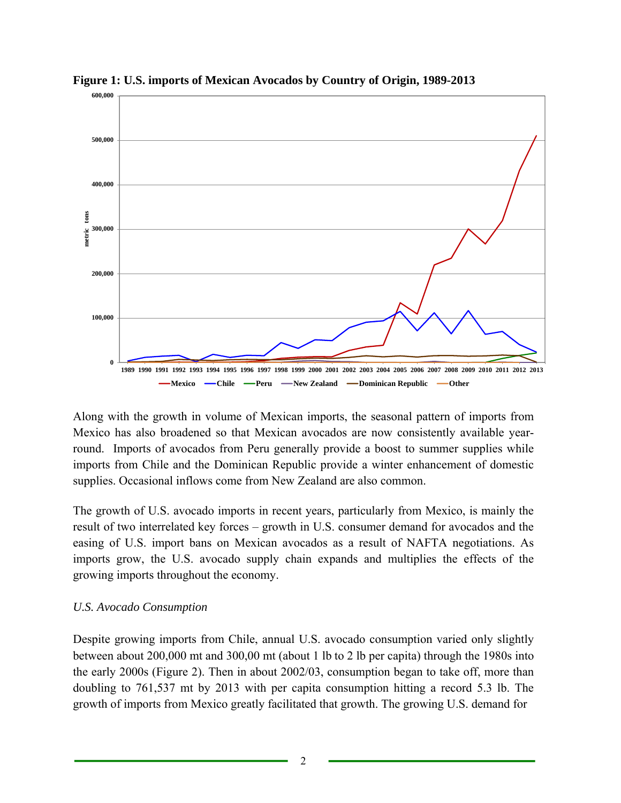

**Figure 1: U.S. imports of Mexican Avocados by Country of Origin, 1989-2013** 

Along with the growth in volume of Mexican imports, the seasonal pattern of imports from Mexico has also broadened so that Mexican avocados are now consistently available yearround. Imports of avocados from Peru generally provide a boost to summer supplies while imports from Chile and the Dominican Republic provide a winter enhancement of domestic supplies. Occasional inflows come from New Zealand are also common.

The growth of U.S. avocado imports in recent years, particularly from Mexico, is mainly the result of two interrelated key forces – growth in U.S. consumer demand for avocados and the easing of U.S. import bans on Mexican avocados as a result of NAFTA negotiations. As imports grow, the U.S. avocado supply chain expands and multiplies the effects of the growing imports throughout the economy.

# *U.S. Avocado Consumption*

Despite growing imports from Chile, annual U.S. avocado consumption varied only slightly between about 200,000 mt and 300,00 mt (about 1 lb to 2 lb per capita) through the 1980s into the early 2000s (Figure 2). Then in about 2002/03, consumption began to take off, more than doubling to 761,537 mt by 2013 with per capita consumption hitting a record 5.3 lb. The growth of imports from Mexico greatly facilitated that growth. The growing U.S. demand for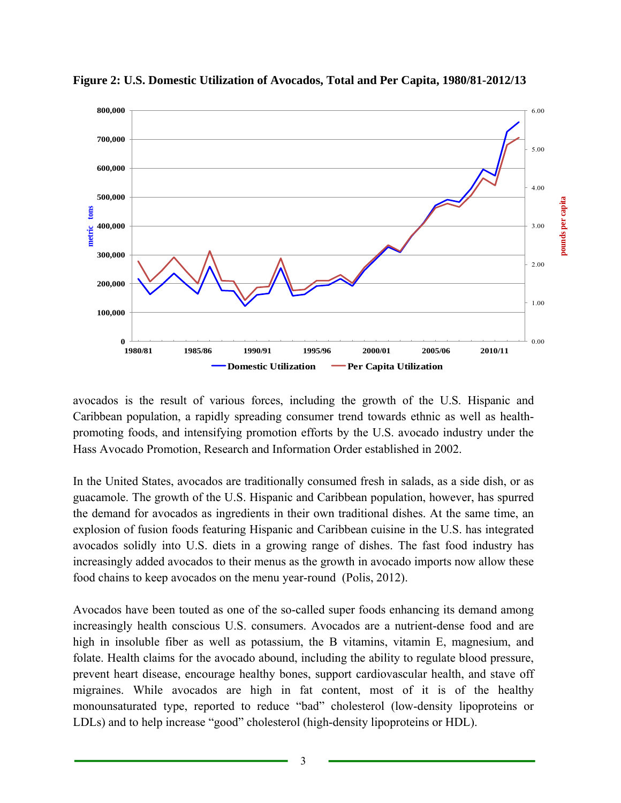

**Figure 2: U.S. Domestic Utilization of Avocados, Total and Per Capita, 1980/81-2012/13** 

avocados is the result of various forces, including the growth of the U.S. Hispanic and Caribbean population, a rapidly spreading consumer trend towards ethnic as well as healthpromoting foods, and intensifying promotion efforts by the U.S. avocado industry under the Hass Avocado Promotion, Research and Information Order established in 2002.

In the United States, avocados are traditionally consumed fresh in salads, as a side dish, or as guacamole. The growth of the U.S. Hispanic and Caribbean population, however, has spurred the demand for avocados as ingredients in their own traditional dishes. At the same time, an explosion of fusion foods featuring Hispanic and Caribbean cuisine in the U.S. has integrated avocados solidly into U.S. diets in a growing range of dishes. The fast food industry has increasingly added avocados to their menus as the growth in avocado imports now allow these food chains to keep avocados on the menu year-round (Polis, 2012).

Avocados have been touted as one of the so-called super foods enhancing its demand among increasingly health conscious U.S. consumers. Avocados are a nutrient-dense food and are high in insoluble fiber as well as potassium, the B vitamins, vitamin E, magnesium, and folate. Health claims for the avocado abound, including the ability to regulate blood pressure, prevent heart disease, encourage healthy bones, support cardiovascular health, and stave off migraines. While avocados are high in fat content, most of it is of the healthy monounsaturated type, reported to reduce "bad" cholesterol (low-density lipoproteins or LDLs) and to help increase "good" cholesterol (high-density lipoproteins or HDL).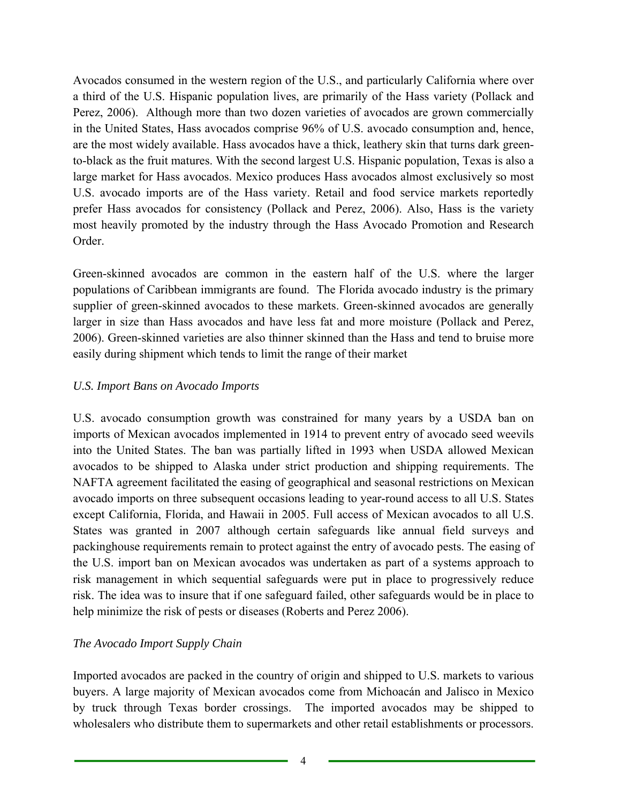Avocados consumed in the western region of the U.S., and particularly California where over a third of the U.S. Hispanic population lives, are primarily of the Hass variety (Pollack and Perez, 2006). Although more than two dozen varieties of avocados are grown commercially in the United States, Hass avocados comprise 96% of U.S. avocado consumption and, hence, are the most widely available. Hass avocados have a thick, leathery skin that turns dark greento-black as the fruit matures. With the second largest U.S. Hispanic population, Texas is also a large market for Hass avocados. Mexico produces Hass avocados almost exclusively so most U.S. avocado imports are of the Hass variety. Retail and food service markets reportedly prefer Hass avocados for consistency (Pollack and Perez, 2006). Also, Hass is the variety most heavily promoted by the industry through the Hass Avocado Promotion and Research Order.

Green-skinned avocados are common in the eastern half of the U.S. where the larger populations of Caribbean immigrants are found. The Florida avocado industry is the primary supplier of green-skinned avocados to these markets. Green-skinned avocados are generally larger in size than Hass avocados and have less fat and more moisture (Pollack and Perez, 2006). Green-skinned varieties are also thinner skinned than the Hass and tend to bruise more easily during shipment which tends to limit the range of their market

### *U.S. Import Bans on Avocado Imports*

U.S. avocado consumption growth was constrained for many years by a USDA ban on imports of Mexican avocados implemented in 1914 to prevent entry of avocado seed weevils into the United States. The ban was partially lifted in 1993 when USDA allowed Mexican avocados to be shipped to Alaska under strict production and shipping requirements. The NAFTA agreement facilitated the easing of geographical and seasonal restrictions on Mexican avocado imports on three subsequent occasions leading to year-round access to all U.S. States except California, Florida, and Hawaii in 2005. Full access of Mexican avocados to all U.S. States was granted in 2007 although certain safeguards like annual field surveys and packinghouse requirements remain to protect against the entry of avocado pests. The easing of the U.S. import ban on Mexican avocados was undertaken as part of a systems approach to risk management in which sequential safeguards were put in place to progressively reduce risk. The idea was to insure that if one safeguard failed, other safeguards would be in place to help minimize the risk of pests or diseases (Roberts and Perez 2006).

# *The Avocado Import Supply Chain*

Imported avocados are packed in the country of origin and shipped to U.S. markets to various buyers. A large majority of Mexican avocados come from Michoacán and Jalisco in Mexico by truck through Texas border crossings. The imported avocados may be shipped to wholesalers who distribute them to supermarkets and other retail establishments or processors.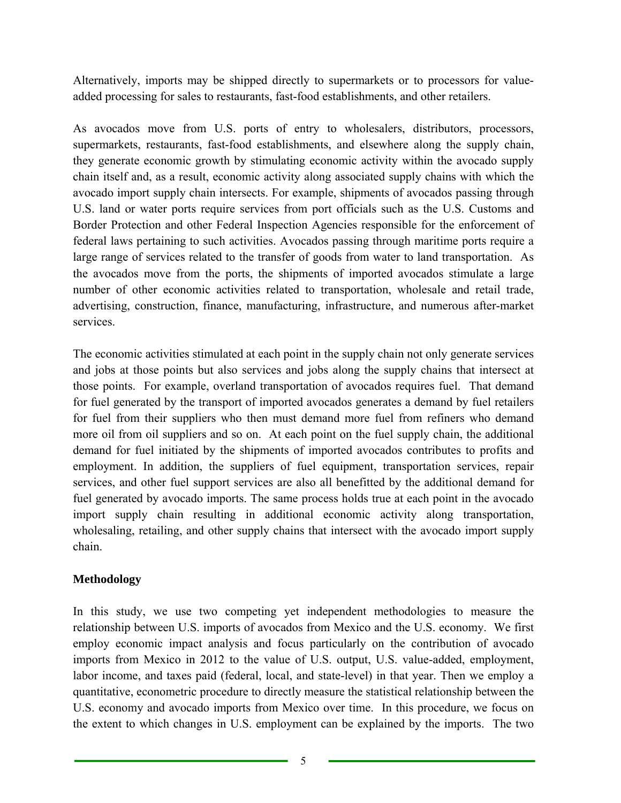Alternatively, imports may be shipped directly to supermarkets or to processors for valueadded processing for sales to restaurants, fast-food establishments, and other retailers.

As avocados move from U.S. ports of entry to wholesalers, distributors, processors, supermarkets, restaurants, fast-food establishments, and elsewhere along the supply chain, they generate economic growth by stimulating economic activity within the avocado supply chain itself and, as a result, economic activity along associated supply chains with which the avocado import supply chain intersects. For example, shipments of avocados passing through U.S. land or water ports require services from port officials such as the U.S. Customs and Border Protection and other Federal Inspection Agencies responsible for the enforcement of federal laws pertaining to such activities. Avocados passing through maritime ports require a large range of services related to the transfer of goods from water to land transportation. As the avocados move from the ports, the shipments of imported avocados stimulate a large number of other economic activities related to transportation, wholesale and retail trade, advertising, construction, finance, manufacturing, infrastructure, and numerous after-market services.

The economic activities stimulated at each point in the supply chain not only generate services and jobs at those points but also services and jobs along the supply chains that intersect at those points. For example, overland transportation of avocados requires fuel. That demand for fuel generated by the transport of imported avocados generates a demand by fuel retailers for fuel from their suppliers who then must demand more fuel from refiners who demand more oil from oil suppliers and so on. At each point on the fuel supply chain, the additional demand for fuel initiated by the shipments of imported avocados contributes to profits and employment. In addition, the suppliers of fuel equipment, transportation services, repair services, and other fuel support services are also all benefitted by the additional demand for fuel generated by avocado imports. The same process holds true at each point in the avocado import supply chain resulting in additional economic activity along transportation, wholesaling, retailing, and other supply chains that intersect with the avocado import supply chain.

# **Methodology**

In this study, we use two competing yet independent methodologies to measure the relationship between U.S. imports of avocados from Mexico and the U.S. economy. We first employ economic impact analysis and focus particularly on the contribution of avocado imports from Mexico in 2012 to the value of U.S. output, U.S. value-added, employment, labor income, and taxes paid (federal, local, and state-level) in that year. Then we employ a quantitative, econometric procedure to directly measure the statistical relationship between the U.S. economy and avocado imports from Mexico over time. In this procedure, we focus on the extent to which changes in U.S. employment can be explained by the imports. The two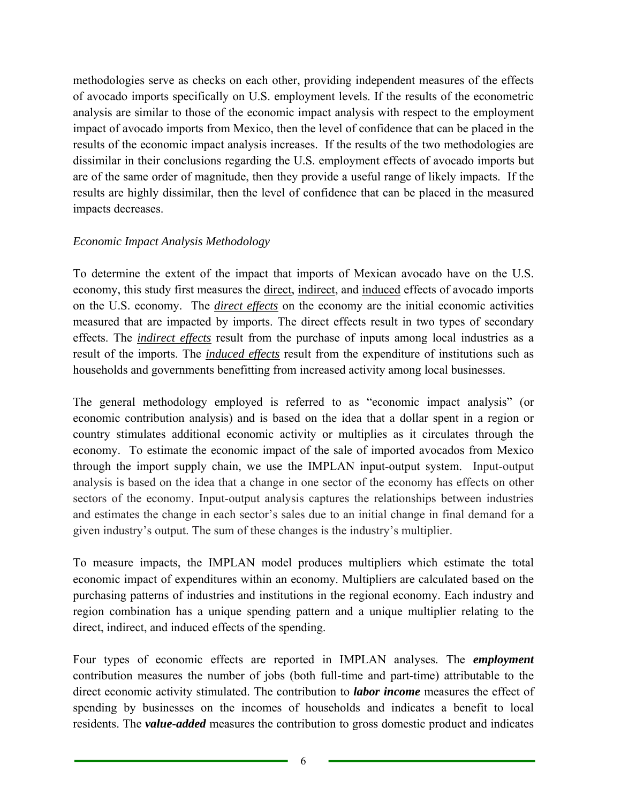methodologies serve as checks on each other, providing independent measures of the effects of avocado imports specifically on U.S. employment levels. If the results of the econometric analysis are similar to those of the economic impact analysis with respect to the employment impact of avocado imports from Mexico, then the level of confidence that can be placed in the results of the economic impact analysis increases. If the results of the two methodologies are dissimilar in their conclusions regarding the U.S. employment effects of avocado imports but are of the same order of magnitude, then they provide a useful range of likely impacts. If the results are highly dissimilar, then the level of confidence that can be placed in the measured impacts decreases.

### *Economic Impact Analysis Methodology*

To determine the extent of the impact that imports of Mexican avocado have on the U.S. economy, this study first measures the direct, indirect, and induced effects of avocado imports on the U.S. economy. The *direct effects* on the economy are the initial economic activities measured that are impacted by imports. The direct effects result in two types of secondary effects. The *indirect effects* result from the purchase of inputs among local industries as a result of the imports. The *induced effects* result from the expenditure of institutions such as households and governments benefitting from increased activity among local businesses.

The general methodology employed is referred to as "economic impact analysis" (or economic contribution analysis) and is based on the idea that a dollar spent in a region or country stimulates additional economic activity or multiplies as it circulates through the economy. To estimate the economic impact of the sale of imported avocados from Mexico through the import supply chain, we use the IMPLAN input-output system. Input-output analysis is based on the idea that a change in one sector of the economy has effects on other sectors of the economy. Input-output analysis captures the relationships between industries and estimates the change in each sector's sales due to an initial change in final demand for a given industry's output. The sum of these changes is the industry's multiplier.

To measure impacts, the IMPLAN model produces multipliers which estimate the total economic impact of expenditures within an economy. Multipliers are calculated based on the purchasing patterns of industries and institutions in the regional economy. Each industry and region combination has a unique spending pattern and a unique multiplier relating to the direct, indirect, and induced effects of the spending.

Four types of economic effects are reported in IMPLAN analyses. The *employment*  contribution measures the number of jobs (both full-time and part-time) attributable to the direct economic activity stimulated. The contribution to *labor income* measures the effect of spending by businesses on the incomes of households and indicates a benefit to local residents. The *value-added* measures the contribution to gross domestic product and indicates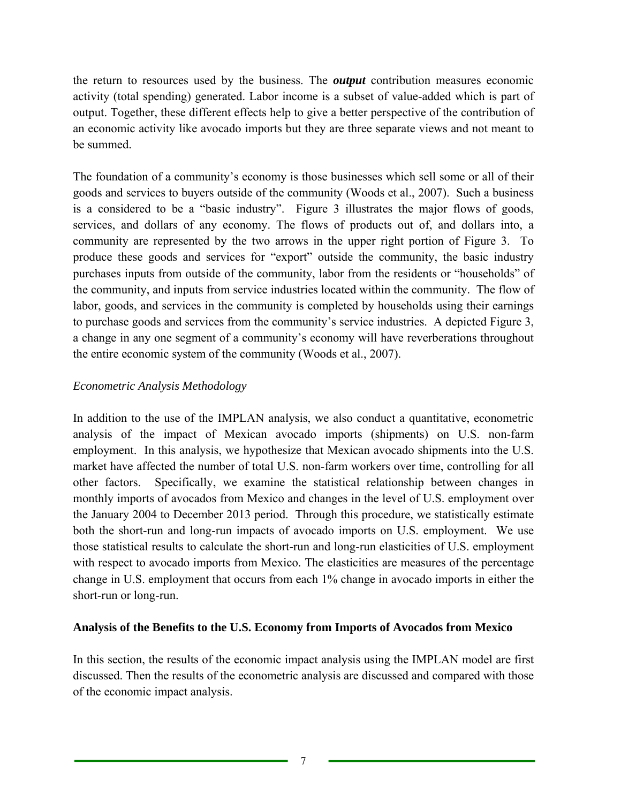the return to resources used by the business. The *output* contribution measures economic activity (total spending) generated. Labor income is a subset of value-added which is part of output. Together, these different effects help to give a better perspective of the contribution of an economic activity like avocado imports but they are three separate views and not meant to be summed.

The foundation of a community's economy is those businesses which sell some or all of their goods and services to buyers outside of the community (Woods et al., 2007). Such a business is a considered to be a "basic industry". Figure 3 illustrates the major flows of goods, services, and dollars of any economy. The flows of products out of, and dollars into, a community are represented by the two arrows in the upper right portion of Figure 3. To produce these goods and services for "export" outside the community, the basic industry purchases inputs from outside of the community, labor from the residents or "households" of the community, and inputs from service industries located within the community. The flow of labor, goods, and services in the community is completed by households using their earnings to purchase goods and services from the community's service industries. A depicted Figure 3, a change in any one segment of a community's economy will have reverberations throughout the entire economic system of the community (Woods et al., 2007).

### *Econometric Analysis Methodology*

In addition to the use of the IMPLAN analysis, we also conduct a quantitative, econometric analysis of the impact of Mexican avocado imports (shipments) on U.S. non-farm employment. In this analysis, we hypothesize that Mexican avocado shipments into the U.S. market have affected the number of total U.S. non-farm workers over time, controlling for all other factors. Specifically, we examine the statistical relationship between changes in monthly imports of avocados from Mexico and changes in the level of U.S. employment over the January 2004 to December 2013 period. Through this procedure, we statistically estimate both the short-run and long-run impacts of avocado imports on U.S. employment. We use those statistical results to calculate the short-run and long-run elasticities of U.S. employment with respect to avocado imports from Mexico. The elasticities are measures of the percentage change in U.S. employment that occurs from each 1% change in avocado imports in either the short-run or long-run.

### **Analysis of the Benefits to the U.S. Economy from Imports of Avocados from Mexico**

In this section, the results of the economic impact analysis using the IMPLAN model are first discussed. Then the results of the econometric analysis are discussed and compared with those of the economic impact analysis.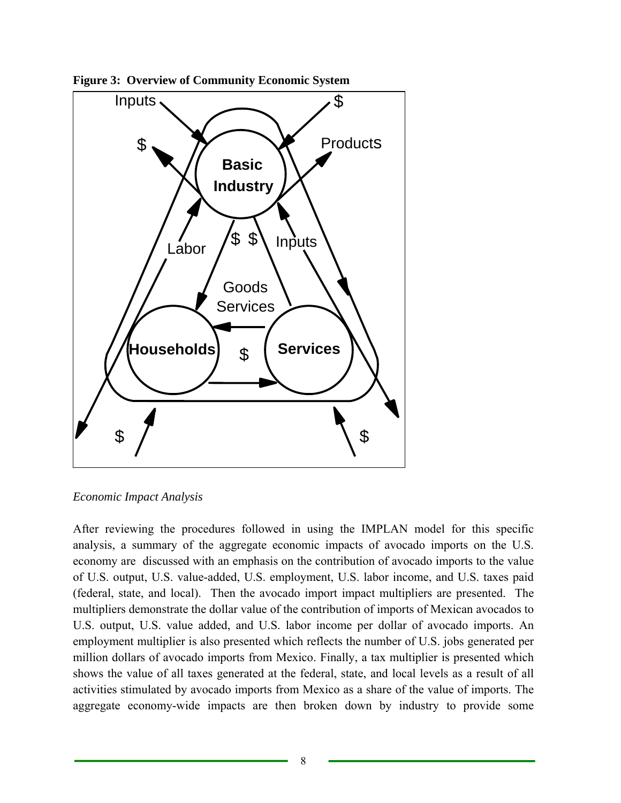

**Figure 3: Overview of Community Economic System** 

*Economic Impact Analysis* 

After reviewing the procedures followed in using the IMPLAN model for this specific analysis, a summary of the aggregate economic impacts of avocado imports on the U.S. economy are discussed with an emphasis on the contribution of avocado imports to the value of U.S. output, U.S. value-added, U.S. employment, U.S. labor income, and U.S. taxes paid (federal, state, and local). Then the avocado import impact multipliers are presented. The multipliers demonstrate the dollar value of the contribution of imports of Mexican avocados to U.S. output, U.S. value added, and U.S. labor income per dollar of avocado imports. An employment multiplier is also presented which reflects the number of U.S. jobs generated per million dollars of avocado imports from Mexico. Finally, a tax multiplier is presented which shows the value of all taxes generated at the federal, state, and local levels as a result of all activities stimulated by avocado imports from Mexico as a share of the value of imports. The aggregate economy-wide impacts are then broken down by industry to provide some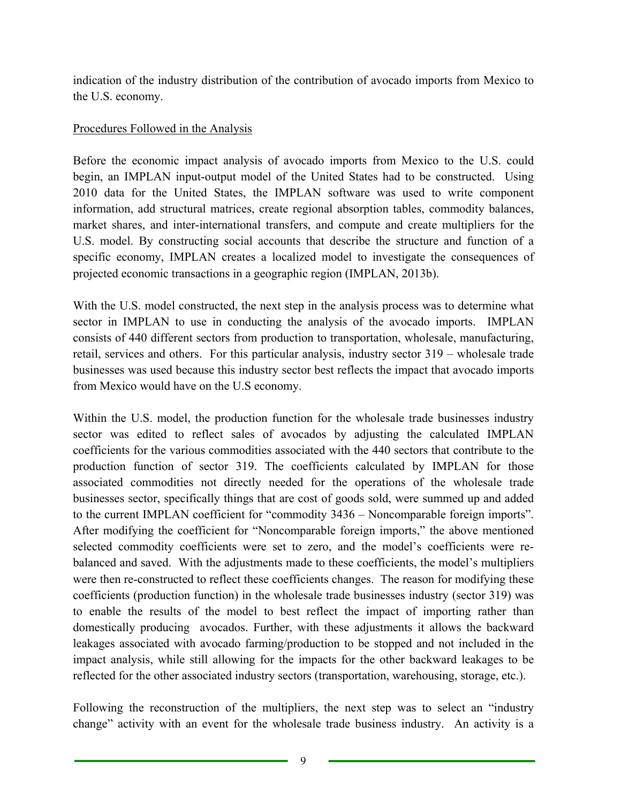indication of the industry distribution of the contribution of avocado imports from Mexico to the U.S. economy.

# Procedures Followed in the Analysis

Before the economic impact analysis of avocado imports from Mexico to the U.S. could begin, an IMPLAN input-output model of the United States had to be constructed. Using 2010 data for the United States, the IMPLAN software was used to write component information, add structural matrices, create regional absorption tables, commodity balances, market shares, and inter-international transfers, and compute and create multipliers for the U.S. model. By constructing social accounts that describe the structure and function of a specific economy, IMPLAN creates a localized model to investigate the consequences of projected economic transactions in a geographic region (IMPLAN, 2013b).

With the U.S. model constructed, the next step in the analysis process was to determine what sector in IMPLAN to use in conducting the analysis of the avocado imports. IMPLAN consists of 440 different sectors from production to transportation, wholesale, manufacturing, retail, services and others. For this particular analysis, industry sector 319 – wholesale trade businesses was used because this industry sector best reflects the impact that avocado imports from Mexico would have on the U.S economy.

Within the U.S. model, the production function for the wholesale trade businesses industry sector was edited to reflect sales of avocados by adjusting the calculated IMPLAN coefficients for the various commodities associated with the 440 sectors that contribute to the production function of sector 319. The coefficients calculated by IMPLAN for those associated commodities not directly needed for the operations of the wholesale trade businesses sector, specifically things that are cost of goods sold, were summed up and added to the current IMPLAN coefficient for "commodity 3436 – Noncomparable foreign imports". After modifying the coefficient for "Noncomparable foreign imports," the above mentioned selected commodity coefficients were set to zero, and the model's coefficients were rebalanced and saved. With the adjustments made to these coefficients, the model's multipliers were then re-constructed to reflect these coefficients changes. The reason for modifying these coefficients (production function) in the wholesale trade businesses industry (sector 319) was to enable the results of the model to best reflect the impact of importing rather than domestically producing avocados. Further, with these adjustments it allows the backward leakages associated with avocado farming/production to be stopped and not included in the impact analysis, while still allowing for the impacts for the other backward leakages to be reflected for the other associated industry sectors (transportation, warehousing, storage, etc.).

Following the reconstruction of the multipliers, the next step was to select an "industry change" activity with an event for the wholesale trade business industry. An activity is a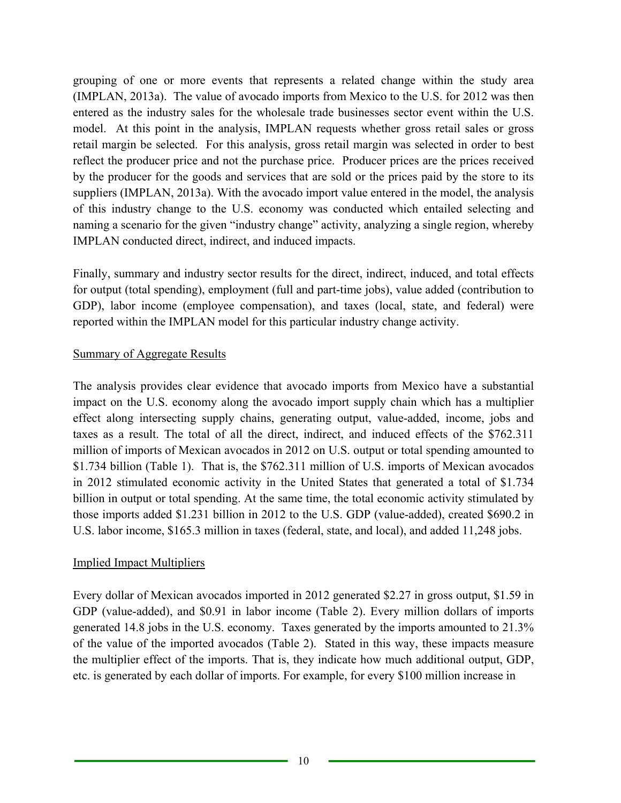grouping of one or more events that represents a related change within the study area (IMPLAN, 2013a). The value of avocado imports from Mexico to the U.S. for 2012 was then entered as the industry sales for the wholesale trade businesses sector event within the U.S. model. At this point in the analysis, IMPLAN requests whether gross retail sales or gross retail margin be selected. For this analysis, gross retail margin was selected in order to best reflect the producer price and not the purchase price. Producer prices are the prices received by the producer for the goods and services that are sold or the prices paid by the store to its suppliers (IMPLAN, 2013a). With the avocado import value entered in the model, the analysis of this industry change to the U.S. economy was conducted which entailed selecting and naming a scenario for the given "industry change" activity, analyzing a single region, whereby IMPLAN conducted direct, indirect, and induced impacts.

Finally, summary and industry sector results for the direct, indirect, induced, and total effects for output (total spending), employment (full and part-time jobs), value added (contribution to GDP), labor income (employee compensation), and taxes (local, state, and federal) were reported within the IMPLAN model for this particular industry change activity.

#### Summary of Aggregate Results

The analysis provides clear evidence that avocado imports from Mexico have a substantial impact on the U.S. economy along the avocado import supply chain which has a multiplier effect along intersecting supply chains, generating output, value-added, income, jobs and taxes as a result. The total of all the direct, indirect, and induced effects of the \$762.311 million of imports of Mexican avocados in 2012 on U.S. output or total spending amounted to \$1.734 billion (Table 1). That is, the \$762.311 million of U.S. imports of Mexican avocados in 2012 stimulated economic activity in the United States that generated a total of \$1.734 billion in output or total spending. At the same time, the total economic activity stimulated by those imports added \$1.231 billion in 2012 to the U.S. GDP (value-added), created \$690.2 in U.S. labor income, \$165.3 million in taxes (federal, state, and local), and added 11,248 jobs.

### Implied Impact Multipliers

Every dollar of Mexican avocados imported in 2012 generated \$2.27 in gross output, \$1.59 in GDP (value-added), and \$0.91 in labor income (Table 2). Every million dollars of imports generated 14.8 jobs in the U.S. economy. Taxes generated by the imports amounted to 21.3% of the value of the imported avocados (Table 2). Stated in this way, these impacts measure the multiplier effect of the imports. That is, they indicate how much additional output, GDP, etc. is generated by each dollar of imports. For example, for every \$100 million increase in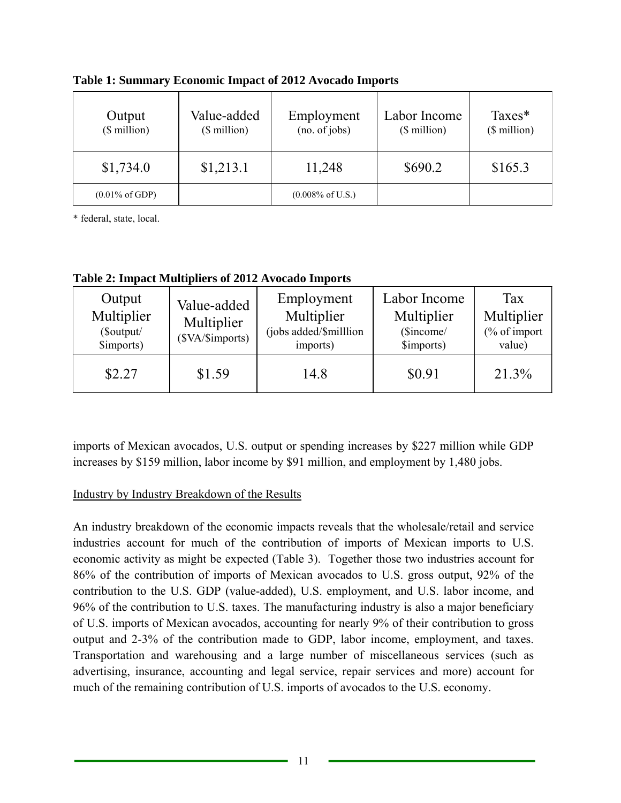| Output<br>$$$ million)    | Value-added<br>$$$ million) | Employment<br>(no. of jobs) | Labor Income<br>(\$ million) | Taxes*<br>$($$ million $)$ |
|---------------------------|-----------------------------|-----------------------------|------------------------------|----------------------------|
| \$1,734.0                 | \$1,213.1                   | 11,248                      | \$690.2                      | \$165.3                    |
| $(0.01\% \text{ of GDP})$ |                             | $(0.008\% \text{ of U.S.})$ |                              |                            |

**Table 1: Summary Economic Impact of 2012 Avocado Imports** 

\* federal, state, local.

**Table 2: Impact Multipliers of 2012 Avocado Imports** 

| Output<br>Multiplier<br>(\$output/<br>\$imports) | Value-added<br>Multiplier<br>(\$VA/\$imports) | Employment<br>Multiplier<br>(jobs added/\$milllion<br>imports) | Labor Income<br>Multiplier<br>(\$income/<br>\$imports) | Tax<br>Multiplier<br>$\frac{6}{6}$ of import<br>value) |
|--------------------------------------------------|-----------------------------------------------|----------------------------------------------------------------|--------------------------------------------------------|--------------------------------------------------------|
| \$2.27                                           | \$1.59                                        | 14.8                                                           | \$0.91                                                 | 21.3%                                                  |

imports of Mexican avocados, U.S. output or spending increases by \$227 million while GDP increases by \$159 million, labor income by \$91 million, and employment by 1,480 jobs.

# Industry by Industry Breakdown of the Results

An industry breakdown of the economic impacts reveals that the wholesale/retail and service industries account for much of the contribution of imports of Mexican imports to U.S. economic activity as might be expected (Table 3). Together those two industries account for 86% of the contribution of imports of Mexican avocados to U.S. gross output, 92% of the contribution to the U.S. GDP (value-added), U.S. employment, and U.S. labor income, and 96% of the contribution to U.S. taxes. The manufacturing industry is also a major beneficiary of U.S. imports of Mexican avocados, accounting for nearly 9% of their contribution to gross output and 2-3% of the contribution made to GDP, labor income, employment, and taxes. Transportation and warehousing and a large number of miscellaneous services (such as advertising, insurance, accounting and legal service, repair services and more) account for much of the remaining contribution of U.S. imports of avocados to the U.S. economy.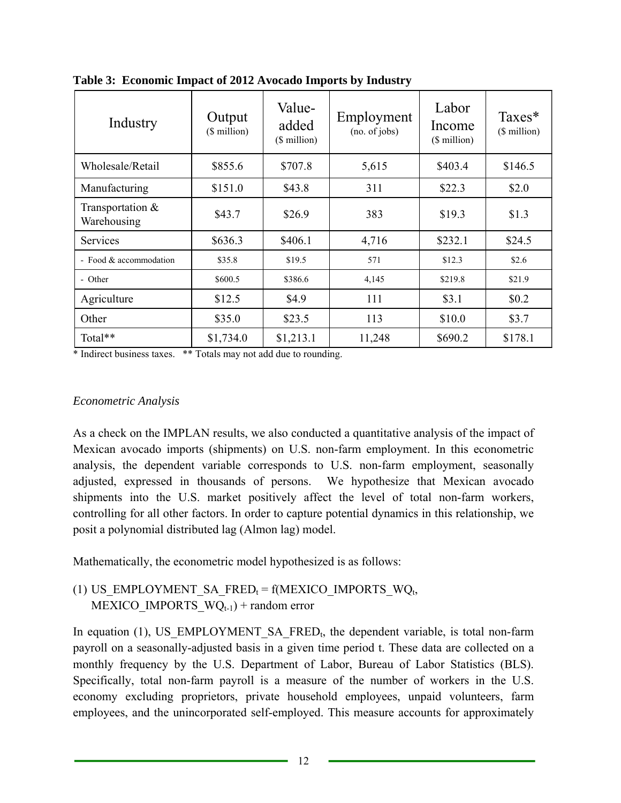| Industry                        | Output<br>(\$ million) | Value-<br>added<br>(\$ million) | Employment<br>(no. of jobs) | Labor<br>Income<br>(\$ million) | $Taxes*$<br>(\$ million) |
|---------------------------------|------------------------|---------------------------------|-----------------------------|---------------------------------|--------------------------|
| Wholesale/Retail                | \$855.6                | \$707.8                         | 5,615                       | \$403.4                         | \$146.5                  |
| Manufacturing                   | \$151.0                | \$43.8                          | 311                         | \$22.3                          | \$2.0                    |
| Transportation &<br>Warehousing | \$43.7                 | \$26.9                          | 383                         | \$19.3                          | \$1.3                    |
| Services                        | \$636.3                | \$406.1                         | 4,716                       | \$232.1                         | \$24.5                   |
| - Food & accommodation          | \$35.8                 | \$19.5                          | 571                         | \$12.3                          | \$2.6                    |
| - Other                         | \$600.5                | \$386.6                         | 4,145                       | \$219.8                         | \$21.9                   |
| Agriculture                     | \$12.5                 | \$4.9                           | 111                         | \$3.1                           | \$0.2                    |
| Other                           | \$35.0                 | \$23.5                          | 113                         | \$10.0                          | \$3.7                    |
| Total**                         | \$1,734.0              | \$1,213.1                       | 11,248                      | \$690.2                         | \$178.1                  |

**Table 3: Economic Impact of 2012 Avocado Imports by Industry** 

\* Indirect business taxes. \*\* Totals may not add due to rounding.

### *Econometric Analysis*

As a check on the IMPLAN results, we also conducted a quantitative analysis of the impact of Mexican avocado imports (shipments) on U.S. non-farm employment. In this econometric analysis, the dependent variable corresponds to U.S. non-farm employment, seasonally adjusted, expressed in thousands of persons. We hypothesize that Mexican avocado shipments into the U.S. market positively affect the level of total non-farm workers, controlling for all other factors. In order to capture potential dynamics in this relationship, we posit a polynomial distributed lag (Almon lag) model.

Mathematically, the econometric model hypothesized is as follows:

(1) US EMPLOYMENT SA FRED<sub>t</sub> = f(MEXICO IMPORTS WQ<sub>t,</sub> MEXICO IMPORTS  $WQ_{t-1}$  + random error

In equation (1), US EMPLOYMENT SA FRED<sub>t</sub>, the dependent variable, is total non-farm payroll on a seasonally-adjusted basis in a given time period t. These data are collected on a monthly frequency by the U.S. Department of Labor, Bureau of Labor Statistics (BLS). Specifically, total non-farm payroll is a measure of the number of workers in the U.S. economy excluding proprietors, private household employees, unpaid volunteers, farm employees, and the unincorporated self-employed. This measure accounts for approximately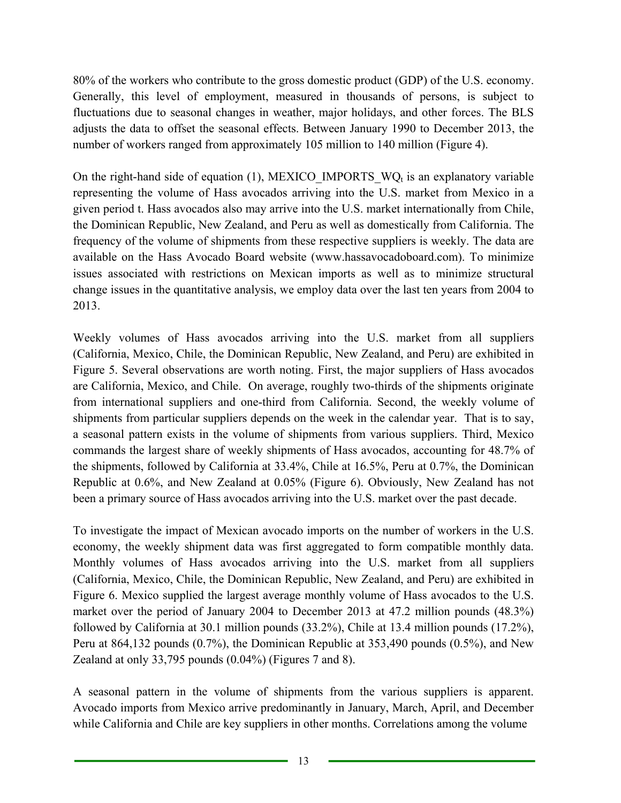number of workers ranged from approximately 105 million to 140 million (Figure 4). 80% of the workers who contribute to the gross domestic product (GDP) of the U.S. economy. Generally, this level of employment, measured in thousands of persons, is subject to fluctuations due to seasonal changes in weather, major holidays, and other forces. The BLS adjusts the data to offset the seasonal effects. Between January 1990 to December 2013, the

On the right-hand side of equation (1), MEXICO\_IMPORTS\_WQ<sub>t</sub> is an explanatory variable representing the volume of Hass avocados arriving into the U.S. market from Mexico in a given period t. Hass avocados also may arrive into the U.S. market internationally from Chile, the Dominican Republic, New Zealand, and Peru as well as domestically from California. The frequency of the volume of shipments from these respective suppliers is weekly. The data are available on the Hass Avocado Board website (www.hassavocadoboard.com). To minimize issues associated with restrictions on Mexican imports as well as to minimize structural change issues in the quantitative analysis, we employ data over the last ten years from 2004 to 2013.

Weekly volumes of Hass avocados arriving into the U.S. market from all suppliers (California, Mexico, Chile, the Dominican Republic, New Zealand, and Peru) are exhibited in Figure 5. Several observations are worth noting. First, the major suppliers of Hass avocados are California, Mexico, and Chile. On average, roughly two-thirds of the shipments originate from international suppliers and one-third from California. Second, the weekly volume of shipments from particular suppliers depends on the week in the calendar year. That is to say, a seasonal pattern exists in the volume of shipments from various suppliers. Third, Mexico commands the largest share of weekly shipments of Hass avocados, accounting for 48.7% of the shipments, followed by California at 33.4%, Chile at 16.5%, Peru at 0.7%, the Dominican Republic at 0.6%, and New Zealand at 0.05% (Figure 6). Obviously, New Zealand has not been a primary source of Hass avocados arriving into the U.S. market over the past decade.

To investigate the impact of Mexican avocado imports on the number of workers in the U.S. economy, the weekly shipment data was first aggregated to form compatible monthly data. Monthly volumes of Hass avocados arriving into the U.S. market from all suppliers (California, Mexico, Chile, the Dominican Republic, New Zealand, and Peru) are exhibited in Figure 6. Mexico supplied the largest average monthly volume of Hass avocados to the U.S. market over the period of January 2004 to December 2013 at 47.2 million pounds (48.3%) followed by California at 30.1 million pounds (33.2%), Chile at 13.4 million pounds (17.2%), Peru at 864,132 pounds (0.7%), the Dominican Republic at 353,490 pounds (0.5%), and New Zealand at only 33,795 pounds (0.04%) (Figures 7 and 8).

A seasonal pattern in the volume of shipments from the various suppliers is apparent. Avocado imports from Mexico arrive predominantly in January, March, April, and December while California and Chile are key suppliers in other months. Correlations among the volume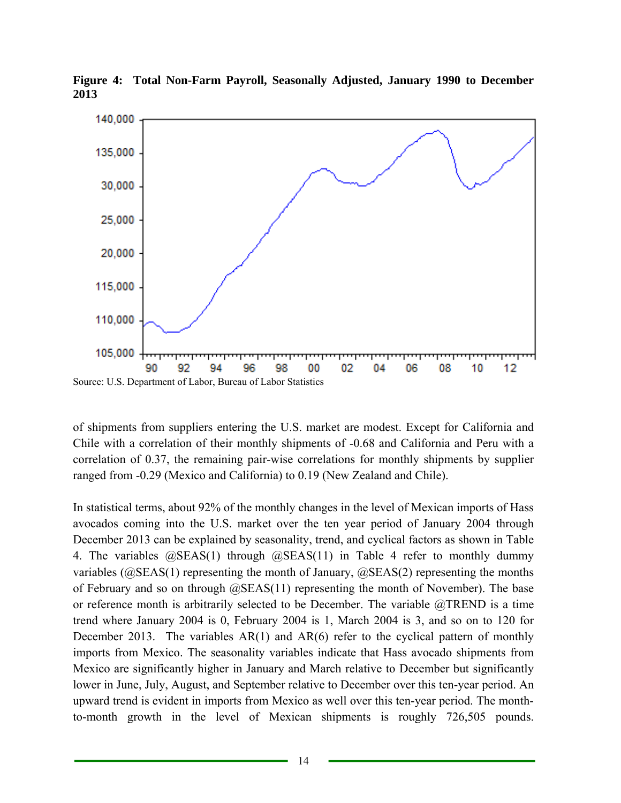

**Figure 4: Total Non-Farm Payroll, Seasonally Adjusted, January 1990 to December 2013** 

of shipments from suppliers entering the U.S. market are modest. Except for California and Chile with a correlation of their monthly shipments of -0.68 and California and Peru with a correlation of 0.37, the remaining pair-wise correlations for monthly shipments by supplier ranged from -0.29 (Mexico and California) to 0.19 (New Zealand and Chile).

In statistical terms, about 92% of the monthly changes in the level of Mexican imports of Hass avocados coming into the U.S. market over the ten year period of January 2004 through December 2013 can be explained by seasonality, trend, and cyclical factors as shown in Table 4. The variables @SEAS(1) through @SEAS(11) in Table 4 refer to monthly dummy variables ( $\omega$ SEAS(1) representing the month of January,  $\omega$ SEAS(2) representing the months of February and so on through @SEAS(11) representing the month of November). The base or reference month is arbitrarily selected to be December. The variable @TREND is a time trend where January 2004 is 0, February 2004 is 1, March 2004 is 3, and so on to 120 for December 2013. The variables  $AR(1)$  and  $AR(6)$  refer to the cyclical pattern of monthly imports from Mexico. The seasonality variables indicate that Hass avocado shipments from Mexico are significantly higher in January and March relative to December but significantly lower in June, July, August, and September relative to December over this ten-year period. An upward trend is evident in imports from Mexico as well over this ten-year period. The monthto-month growth in the level of Mexican shipments is roughly 726,505 pounds.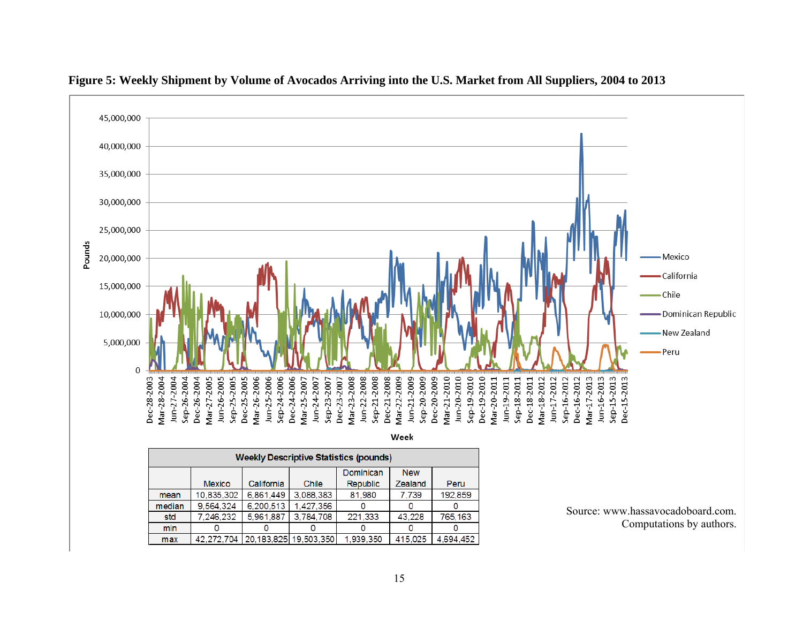

#### **Figure 5: Weekly Shipment by Volume of Avocados Arriving into the U.S. Market from All Suppliers, 2004 to 2013**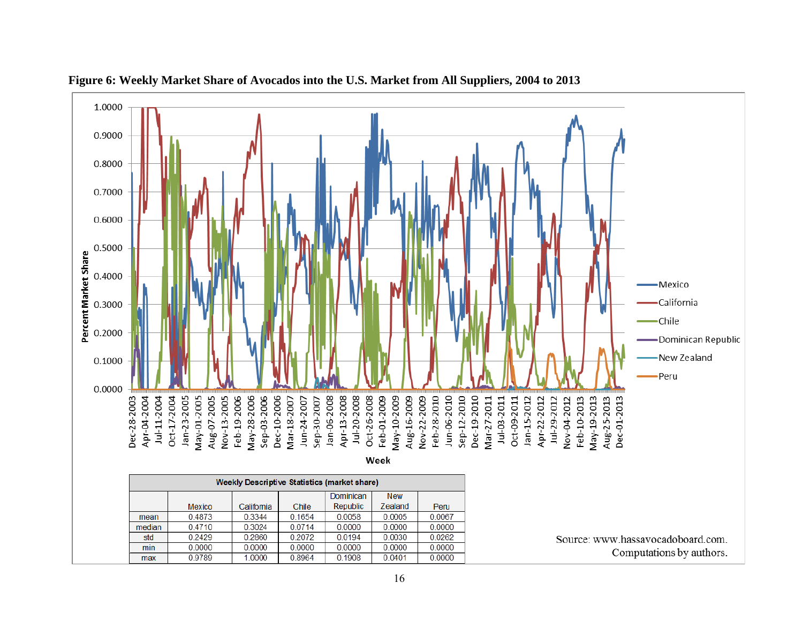

**Figure 6: Weekly Market Share of Avocados into the U.S. Market from All Suppliers, 2004 to 2013**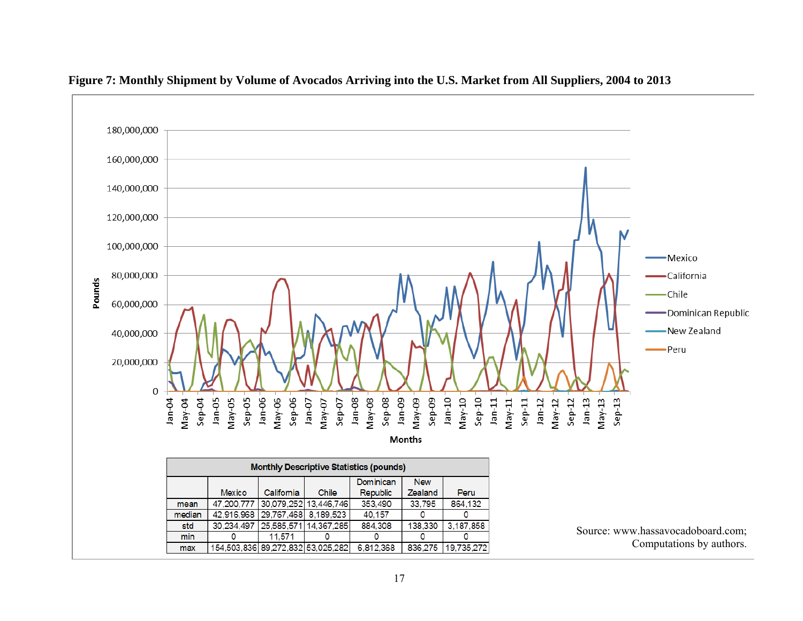

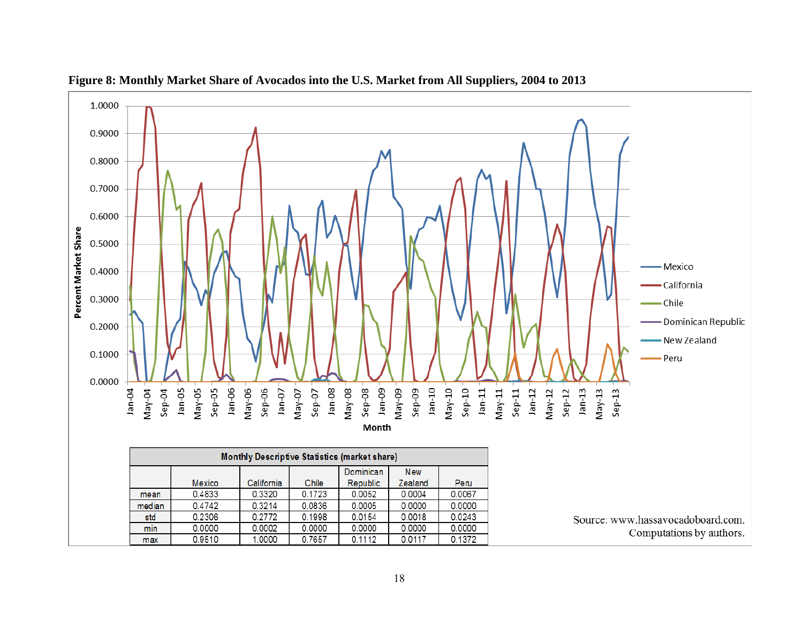

**Figure 8: Monthly Market Share of Avocados into the U.S. Market from All Suppliers, 2004 to 2013**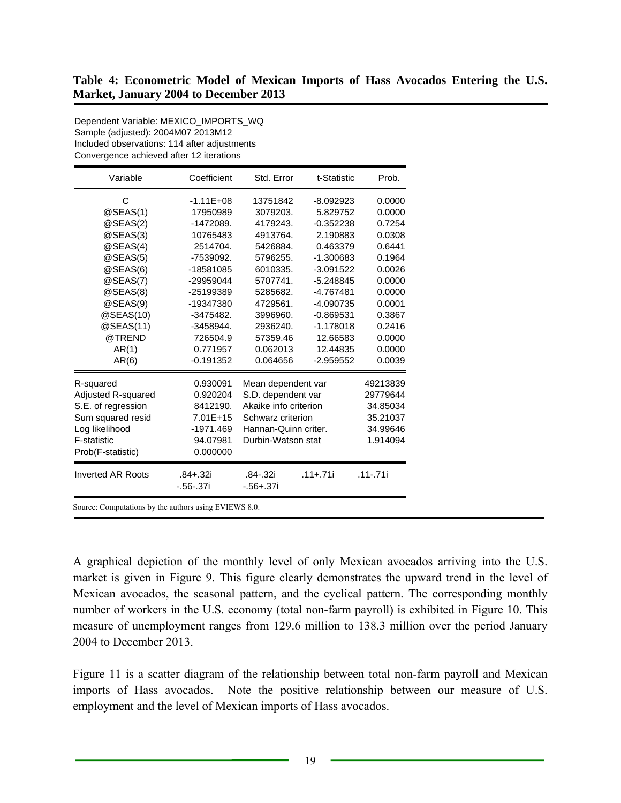| Variable                 | Coefficient   | Std. Error            | t-Statistic  | Prob.        |
|--------------------------|---------------|-----------------------|--------------|--------------|
| C                        | $-1.11E + 08$ | 13751842              | $-8.092923$  | 0.0000       |
| @SEAS(1)                 | 17950989      | 3079203.              | 5.829752     | 0.0000       |
| @SEAS(2)                 | $-1472089.$   | 4179243.              | $-0.352238$  | 0.7254       |
| @SEAS(3)                 | 10765483      | 4913764.              | 2.190883     | 0.0308       |
| @SEAS(4)                 | 2514704.      | 5426884.              | 0.463379     | 0.6441       |
| @SEAS(5)                 | -7539092.     | 5796255.              | -1.300683    | 0.1964       |
| @SEAS(6)                 | -18581085     | 6010335.              | $-3.091522$  | 0.0026       |
| @SEAS(7)                 | -29959044     | 5707741.              | $-5.248845$  | 0.0000       |
| @SEAS(8)                 | -25199389     | 5285682.              | $-4.767481$  | 0.0000       |
| @SEAS(9)                 | -19347380     | 4729561.              | -4.090735    | 0.0001       |
| @SEAS(10)                | $-3475482.$   | 3996960.              | $-0.869531$  | 0.3867       |
| @SEAS(11)                | -3458944.     | 2936240.              | $-1.178018$  | 0.2416       |
| @TREND                   | 726504.9      | 57359.46              | 12.66583     | 0.0000       |
| AR(1)                    | 0.771957      | 0.062013              | 12.44835     | 0.0000       |
| AR(6)                    | $-0.191352$   | 0.064656              | $-2.959552$  | 0.0039       |
| R-squared                | 0.930091      | Mean dependent var    |              | 49213839     |
| Adjusted R-squared       | 0.920204      | S.D. dependent var    |              | 29779644     |
| S.E. of regression       | 8412190.      | Akaike info criterion |              | 34.85034     |
| Sum squared resid        | 7.01E+15      | Schwarz criterion     |              | 35.21037     |
| Log likelihood           | -1971.469     | Hannan-Quinn criter.  |              | 34.99646     |
| F-statistic              | 94.07981      | Durbin-Watson stat    |              | 1.914094     |
| Prob(F-statistic)        | 0.000000      |                       |              |              |
| <b>Inverted AR Roots</b> | $.84 + .32i$  | .84-.32i              | $.11 + .71i$ | $.11 - .71i$ |
|                          | $-.56-.37i$   | $-.56 + .37i$         |              |              |

Dependent Variable: MEXICO\_IMPORTS\_WQ Sample (adjusted): 2004M07 2013M12

A graphical depiction of the monthly level of only Mexican avocados arriving into the U.S. market is given in Figure 9. This figure clearly demonstrates the upward trend in the level of Mexican avocados, the seasonal pattern, and the cyclical pattern. The corresponding monthly number of workers in the U.S. economy (total non-farm payroll) is exhibited in Figure 10. This measure of unemployment ranges from 129.6 million to 138.3 million over the period January 2004 to December 2013.

Figure 11 is a scatter diagram of the relationship between total non-farm payroll and Mexican imports of Hass avocados. Note the positive relationship between our measure of U.S. employment and the level of Mexican imports of Hass avocados.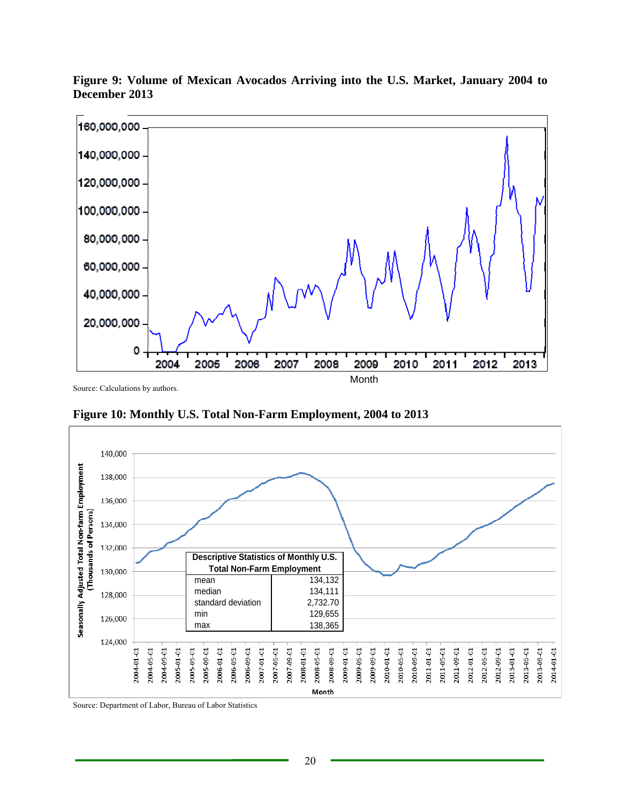

**Figure 9: Volume of Mexican Avocados Arriving into the U.S. Market, January 2004 to December 2013** 

Source: Calculations by authors.

**Figure 10: Monthly U.S. Total Non-Farm Employment, 2004 to 2013** 



Source: Department of Labor, Bureau of Labor Statistics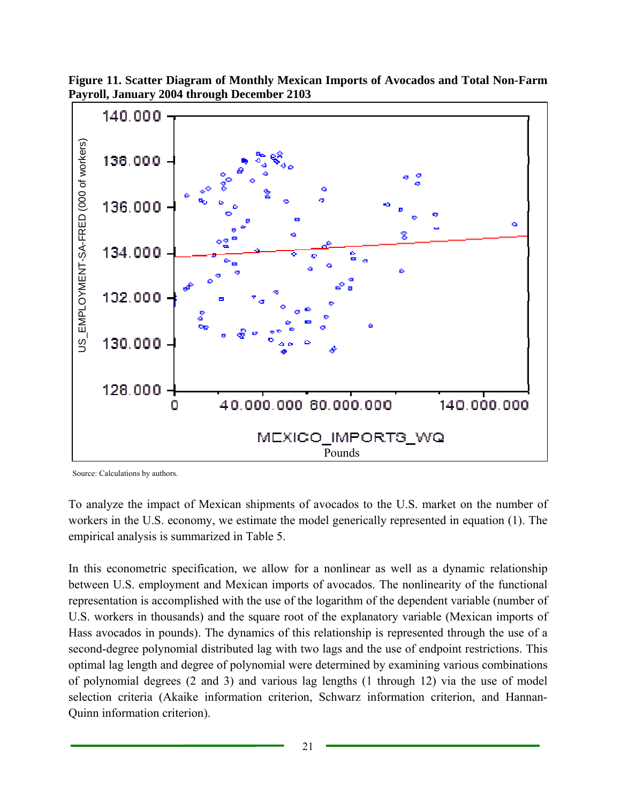



Source: Calculations by authors.

To analyze the impact of Mexican shipments of avocados to the U.S. market on the number of workers in the U.S. economy, we estimate the model generically represented in equation (1). The empirical analysis is summarized in Table 5.

In this econometric specification, we allow for a nonlinear as well as a dynamic relationship between U.S. employment and Mexican imports of avocados. The nonlinearity of the functional representation is accomplished with the use of the logarithm of the dependent variable (number of U.S. workers in thousands) and the square root of the explanatory variable (Mexican imports of Hass avocados in pounds). The dynamics of this relationship is represented through the use of a second-degree polynomial distributed lag with two lags and the use of endpoint restrictions. This optimal lag length and degree of polynomial were determined by examining various combinations of polynomial degrees (2 and 3) and various lag lengths (1 through 12) via the use of model selection criteria (Akaike information criterion, Schwarz information criterion, and Hannan-Quinn information criterion).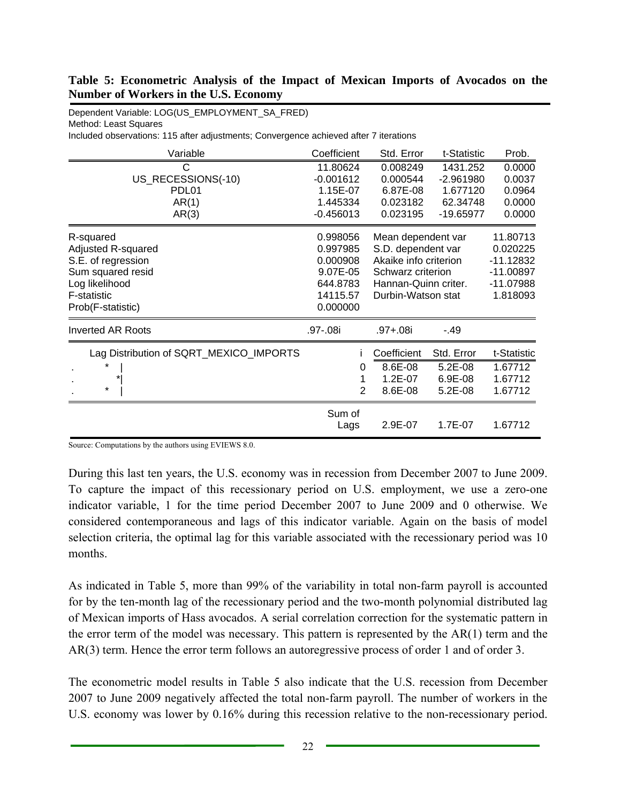#### **Table 5: Econometric Analysis of the Impact of Mexican Imports of Avocados on the Number of Workers in the U.S. Economy**

Dependent Variable: LOG(US\_EMPLOYMENT\_SA\_FRED) Method: Least Squares Included observations: 115 after adjustments; Convergence achieved after 7 iterations

| Variable                                                                                                                         | Coefficient                                                                      | Std. Error                                                                                                                           | t-Statistic                                                    | Prob.                                                                     |
|----------------------------------------------------------------------------------------------------------------------------------|----------------------------------------------------------------------------------|--------------------------------------------------------------------------------------------------------------------------------------|----------------------------------------------------------------|---------------------------------------------------------------------------|
| С<br>US_RECESSIONS(-10)<br>PDL01<br>AR(1)<br>AR(3)                                                                               | 11.80624<br>$-0.001612$<br>1.15E-07<br>1.445334<br>$-0.456013$                   | 0.008249<br>0.000544<br>6.87E-08<br>0.023182<br>0.023195                                                                             | 1431.252<br>$-2.961980$<br>1.677120<br>62.34748<br>$-19.65977$ | 0.0000<br>0.0037<br>0.0964<br>0.0000<br>0.0000                            |
| R-squared<br>Adjusted R-squared<br>S.E. of regression<br>Sum squared resid<br>Log likelihood<br>F-statistic<br>Prob(F-statistic) | 0.998056<br>0.997985<br>0.000908<br>9.07E-05<br>644.8783<br>14115.57<br>0.000000 | Mean dependent var<br>S.D. dependent var<br>Akaike info criterion<br>Schwarz criterion<br>Hannan-Quinn criter.<br>Durbin-Watson stat |                                                                | 11.80713<br>0.020225<br>-11.12832<br>$-11.00897$<br>-11.07988<br>1.818093 |
| <b>Inverted AR Roots</b>                                                                                                         | .97-.08i                                                                         | $.97 + .08i$                                                                                                                         | $-49$                                                          |                                                                           |
| Lag Distribution of SQRT_MEXICO_IMPORTS<br>$^{\star}$                                                                            | 0<br>$\overline{2}$                                                              | Coefficient<br>8.6E-08<br>1.2E-07<br>8.6E-08                                                                                         | Std. Error<br>5.2E-08<br>6.9E-08<br>5.2E-08                    | t-Statistic<br>1.67712<br>1.67712<br>1.67712                              |
|                                                                                                                                  | Sum of<br>Lags                                                                   | 2.9E-07                                                                                                                              | 1.7E-07                                                        | 1.67712                                                                   |

Source: Computations by the authors using EVIEWS 8.0.

During this last ten years, the U.S. economy was in recession from December 2007 to June 2009. To capture the impact of this recessionary period on U.S. employment, we use a zero-one indicator variable, 1 for the time period December 2007 to June 2009 and 0 otherwise. We considered contemporaneous and lags of this indicator variable. Again on the basis of model selection criteria, the optimal lag for this variable associated with the recessionary period was 10 months.

As indicated in Table 5, more than 99% of the variability in total non-farm payroll is accounted for by the ten-month lag of the recessionary period and the two-month polynomial distributed lag of Mexican imports of Hass avocados. A serial correlation correction for the systematic pattern in the error term of the model was necessary. This pattern is represented by the AR(1) term and the AR(3) term. Hence the error term follows an autoregressive process of order 1 and of order 3.

The econometric model results in Table 5 also indicate that the U.S. recession from December 2007 to June 2009 negatively affected the total non-farm payroll. The number of workers in the U.S. economy was lower by 0.16% during this recession relative to the non-recessionary period.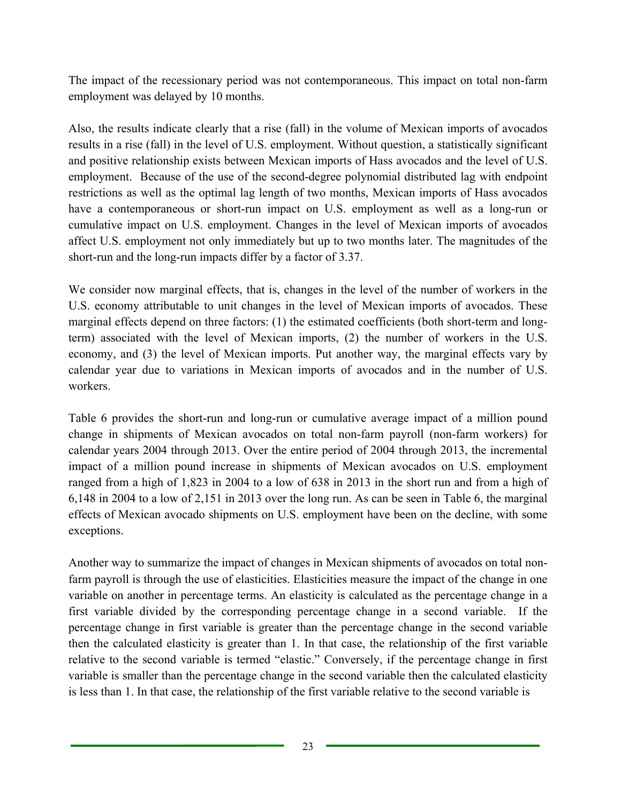The impact of the recessionary period was not contemporaneous. This impact on total non-farm employment was delayed by 10 months.

Also, the results indicate clearly that a rise (fall) in the volume of Mexican imports of avocados results in a rise (fall) in the level of U.S. employment. Without question, a statistically significant and positive relationship exists between Mexican imports of Hass avocados and the level of U.S. employment. Because of the use of the second-degree polynomial distributed lag with endpoint restrictions as well as the optimal lag length of two months, Mexican imports of Hass avocados have a contemporaneous or short-run impact on U.S. employment as well as a long-run or cumulative impact on U.S. employment. Changes in the level of Mexican imports of avocados affect U.S. employment not only immediately but up to two months later. The magnitudes of the short-run and the long-run impacts differ by a factor of 3.37.

We consider now marginal effects, that is, changes in the level of the number of workers in the U.S. economy attributable to unit changes in the level of Mexican imports of avocados. These marginal effects depend on three factors: (1) the estimated coefficients (both short-term and longterm) associated with the level of Mexican imports, (2) the number of workers in the U.S. economy, and (3) the level of Mexican imports. Put another way, the marginal effects vary by calendar year due to variations in Mexican imports of avocados and in the number of U.S. workers.

Table 6 provides the short-run and long-run or cumulative average impact of a million pound change in shipments of Mexican avocados on total non-farm payroll (non-farm workers) for calendar years 2004 through 2013. Over the entire period of 2004 through 2013, the incremental impact of a million pound increase in shipments of Mexican avocados on U.S. employment ranged from a high of 1,823 in 2004 to a low of 638 in 2013 in the short run and from a high of 6,148 in 2004 to a low of 2,151 in 2013 over the long run. As can be seen in Table 6, the marginal effects of Mexican avocado shipments on U.S. employment have been on the decline, with some exceptions.

Another way to summarize the impact of changes in Mexican shipments of avocados on total nonfarm payroll is through the use of elasticities. Elasticities measure the impact of the change in one variable on another in percentage terms. An elasticity is calculated as the percentage change in a first variable divided by the corresponding percentage change in a second variable. If the percentage change in first variable is greater than the percentage change in the second variable then the calculated elasticity is greater than 1. In that case, the relationship of the first variable relative to the second variable is termed "elastic." Conversely, if the percentage change in first variable is smaller than the percentage change in the second variable then the calculated elasticity is less than 1. In that case, the relationship of the first variable relative to the second variable is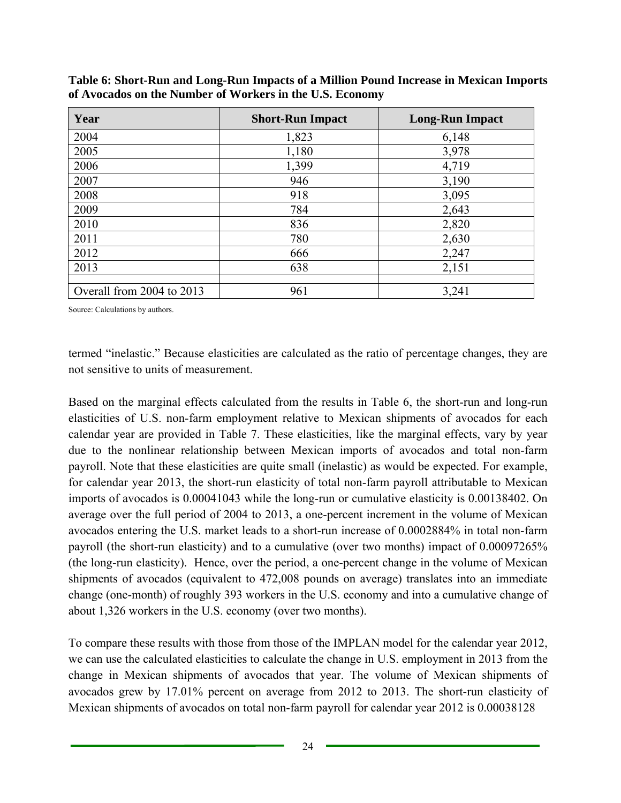| Year                      | <b>Short-Run Impact</b> | <b>Long-Run Impact</b> |
|---------------------------|-------------------------|------------------------|
| 2004                      | 1,823                   | 6,148                  |
| 2005                      | 1,180                   | 3,978                  |
| 2006                      | 1,399                   | 4,719                  |
| 2007                      | 946                     | 3,190                  |
| 2008                      | 918                     | 3,095                  |
| 2009                      | 784                     | 2,643                  |
| 2010                      | 836                     | 2,820                  |
| 2011                      | 780                     | 2,630                  |
| 2012                      | 666                     | 2,247                  |
| 2013                      | 638                     | 2,151                  |
|                           |                         |                        |
| Overall from 2004 to 2013 | 961                     | 3,241                  |

**Table 6: Short-Run and Long-Run Impacts of a Million Pound Increase in Mexican Imports of Avocados on the Number of Workers in the U.S. Economy** 

Source: Calculations by authors.

termed "inelastic." Because elasticities are calculated as the ratio of percentage changes, they are not sensitive to units of measurement.

Based on the marginal effects calculated from the results in Table 6, the short-run and long-run elasticities of U.S. non-farm employment relative to Mexican shipments of avocados for each calendar year are provided in Table 7. These elasticities, like the marginal effects, vary by year due to the nonlinear relationship between Mexican imports of avocados and total non-farm payroll. Note that these elasticities are quite small (inelastic) as would be expected. For example, for calendar year 2013, the short-run elasticity of total non-farm payroll attributable to Mexican imports of avocados is 0.00041043 while the long-run or cumulative elasticity is 0.00138402. On average over the full period of 2004 to 2013, a one-percent increment in the volume of Mexican avocados entering the U.S. market leads to a short-run increase of 0.0002884% in total non-farm payroll (the short-run elasticity) and to a cumulative (over two months) impact of 0.00097265% (the long-run elasticity). Hence, over the period, a one-percent change in the volume of Mexican shipments of avocados (equivalent to 472,008 pounds on average) translates into an immediate change (one-month) of roughly 393 workers in the U.S. economy and into a cumulative change of about 1,326 workers in the U.S. economy (over two months).

To compare these results with those from those of the IMPLAN model for the calendar year 2012, we can use the calculated elasticities to calculate the change in U.S. employment in 2013 from the change in Mexican shipments of avocados that year. The volume of Mexican shipments of avocados grew by 17.01% percent on average from 2012 to 2013. The short-run elasticity of Mexican shipments of avocados on total non-farm payroll for calendar year 2012 is 0.00038128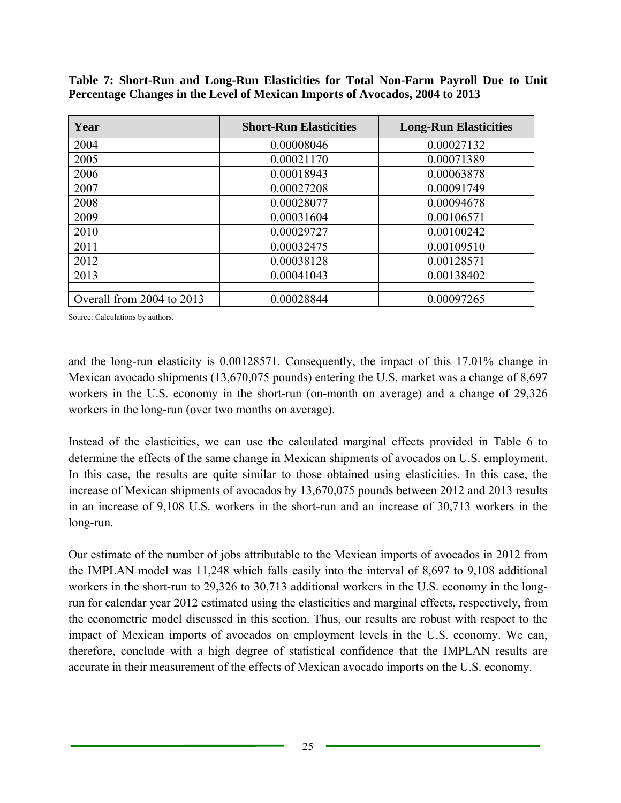| Year                      | <b>Short-Run Elasticities</b> | <b>Long-Run Elasticities</b> |
|---------------------------|-------------------------------|------------------------------|
| 2004                      | 0.00008046                    | 0.00027132                   |
| 2005                      | 0.00021170                    | 0.00071389                   |
| 2006                      | 0.00018943                    | 0.00063878                   |
| 2007                      | 0.00027208                    | 0.00091749                   |
| 2008                      | 0.00028077                    | 0.00094678                   |
| 2009                      | 0.00031604                    | 0.00106571                   |
| 2010                      | 0.00029727                    | 0.00100242                   |
| 2011                      | 0.00032475                    | 0.00109510                   |
| 2012                      | 0.00038128                    | 0.00128571                   |
| 2013                      | 0.00041043                    | 0.00138402                   |
|                           |                               |                              |
| Overall from 2004 to 2013 | 0.00028844                    | 0.00097265                   |

**Table 7: Short-Run and Long-Run Elasticities for Total Non-Farm Payroll Due to Unit Percentage Changes in the Level of Mexican Imports of Avocados, 2004 to 2013** 

Source: Calculations by authors.

and the long-run elasticity is 0.00128571. Consequently, the impact of this 17.01% change in Mexican avocado shipments (13,670,075 pounds) entering the U.S. market was a change of 8,697 workers in the U.S. economy in the short-run (on-month on average) and a change of 29,326 workers in the long-run (over two months on average).

Instead of the elasticities, we can use the calculated marginal effects provided in Table 6 to determine the effects of the same change in Mexican shipments of avocados on U.S. employment. In this case, the results are quite similar to those obtained using elasticities. In this case, the increase of Mexican shipments of avocados by 13,670,075 pounds between 2012 and 2013 results in an increase of 9,108 U.S. workers in the short-run and an increase of 30,713 workers in the long-run.

Our estimate of the number of jobs attributable to the Mexican imports of avocados in 2012 from the IMPLAN model was 11,248 which falls easily into the interval of 8,697 to 9,108 additional workers in the short-run to 29,326 to 30,713 additional workers in the U.S. economy in the longrun for calendar year 2012 estimated using the elasticities and marginal effects, respectively, from the econometric model discussed in this section. Thus, our results are robust with respect to the impact of Mexican imports of avocados on employment levels in the U.S. economy. We can, therefore, conclude with a high degree of statistical confidence that the IMPLAN results are accurate in their measurement of the effects of Mexican avocado imports on the U.S. economy.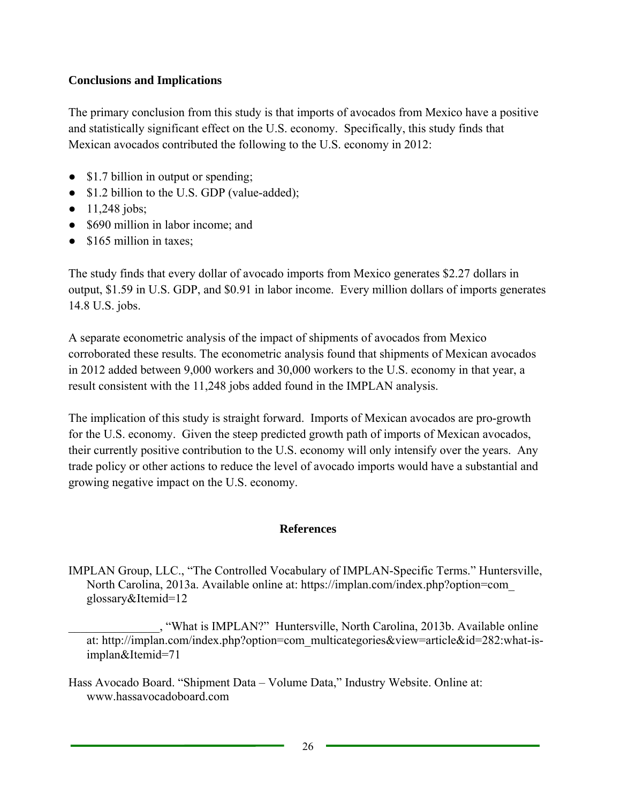# **Conclusions and Implications**

The primary conclusion from this study is that imports of avocados from Mexico have a positive and statistically significant effect on the U.S. economy. Specifically, this study finds that Mexican avocados contributed the following to the U.S. economy in 2012:

- \$1.7 billion in output or spending;
- \$1.2 billion to the U.S. GDP (value-added);
- $\bullet$  11,248 jobs;
- \$690 million in labor income; and
- $\bullet$  \$165 million in taxes:

The study finds that every dollar of avocado imports from Mexico generates \$2.27 dollars in output, \$1.59 in U.S. GDP, and \$0.91 in labor income. Every million dollars of imports generates 14.8 U.S. jobs.

A separate econometric analysis of the impact of shipments of avocados from Mexico corroborated these results. The econometric analysis found that shipments of Mexican avocados in 2012 added between 9,000 workers and 30,000 workers to the U.S. economy in that year, a result consistent with the 11,248 jobs added found in the IMPLAN analysis.

The implication of this study is straight forward. Imports of Mexican avocados are pro-growth for the U.S. economy. Given the steep predicted growth path of imports of Mexican avocados, their currently positive contribution to the U.S. economy will only intensify over the years. Any trade policy or other actions to reduce the level of avocado imports would have a substantial and growing negative impact on the U.S. economy.

# **References**

IMPLAN Group, LLC., "The Controlled Vocabulary of IMPLAN-Specific Terms." Huntersville, North Carolina, 2013a. Available online at: https://implan.com/index.php?option=com\_ glossary&Itemid=12

\_\_\_\_\_\_\_\_\_\_\_\_\_\_\_, "What is IMPLAN?" Huntersville, North Carolina, 2013b. Available online at: http://implan.com/index.php?option=com\_multicategories&view=article&id=282:what-isimplan&Itemid=71

Hass Avocado Board. "Shipment Data – Volume Data," Industry Website. Online at: www.hassavocadoboard.com